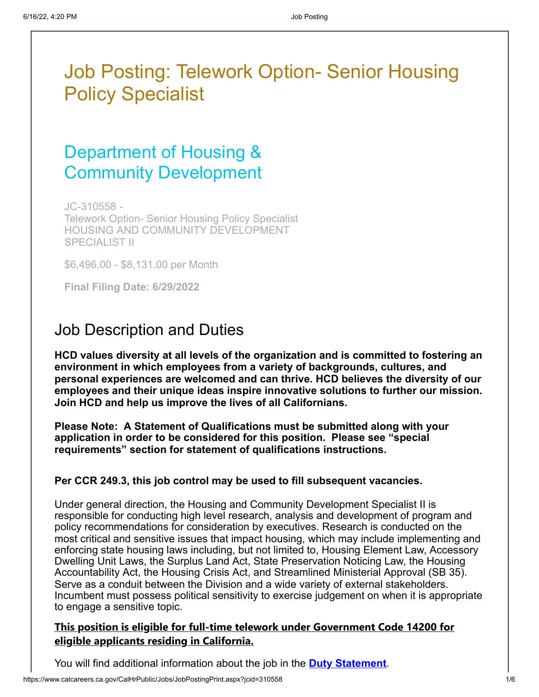# Job Posting: Telework Option- Senior Housing Policy Specialist

# Department of Housing & Community Development

JC-310558 - Telework Option- Senior Housing Policy Specialist HOUSING AND COMMUNITY DEVELOPMENT SPECIALIST II

\$6,496.00 - \$8,131.00 per Month

**Final Filing Date: 6/29/2022**

## Job Description and Duties

**HCD values diversity at all levels of the organization and is committed to fostering an environment in which employees from a variety of backgrounds, cultures, and personal experiences are welcomed and can thrive. HCD believes the diversity of our employees and their unique ideas inspire innovative solutions to further our mission. Join HCD and help us improve the lives of all Californians.**

**Please Note: A Statement of Qualifications must be submitted along with your application in order to be considered for this position. Please see "special requirements" section for statement of qualifications instructions.**

#### **Per CCR 249.3, this job control may be used to fill subsequent vacancies.**

Under general direction, the Housing and Community Development Specialist II is responsible for conducting high level research, analysis and development of program and policy recommendations for consideration by executives. Research is conducted on the most critical and sensitive issues that impact housing, which may include implementing and enforcing state housing laws including, but not limited to, Housing Element Law, Accessory Dwelling Unit Laws, the Surplus Land Act, State Preservation Noticing Law, the Housing Accountability Act, the Housing Crisis Act, and Streamlined Ministerial Approval (SB 35). Serve as a conduit between the Division and a wide variety of external stakeholders. Incumbent must possess political sensitivity to exercise judgement on when it is appropriate to engage a sensitive topic.

### **This position is eligible for full-time telework under Government Code 14200 for eligible applicants residing in California.**

You will find additional information about the job in the **[Duty Statement](https://www.calcareers.ca.gov/CalHrPublic/FileDownload.aspx?aid=16728024&name=DS_401-310-9037-901.pdf)**.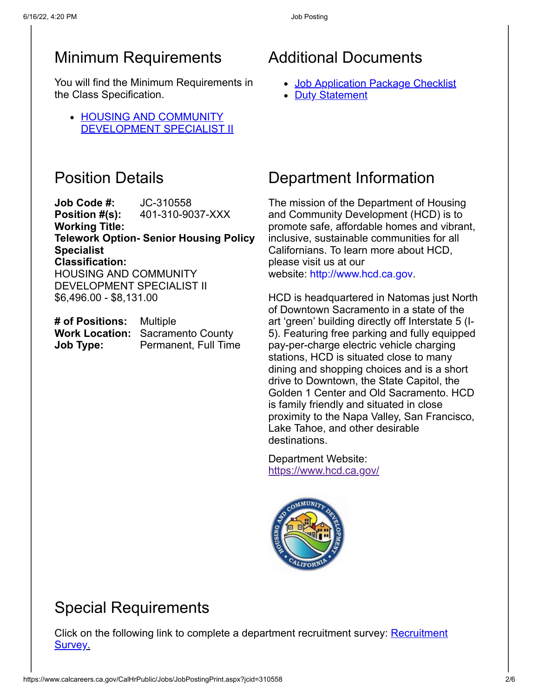## Minimum Requirements

You will find the Minimum Requirements in the Class Specification.

• HOUSING AND COMMUNITY [DEVELOPMENT SPECIALIST II](https://hrnet.calhr.ca.gov/CalHRNet/SpecCrossReference.aspx?ClassID=9037)

## Position Details

**Job Code #:** JC-310558 **Position #(s):** 401-310-9037-XXX **Working Title: Telework Option- Senior Housing Policy Specialist Classification:** HOUSING AND COMMUNITY DEVELOPMENT SPECIALIST II \$6,496.00 - \$8,131.00

| # of Positions: | Multiple                                |
|-----------------|-----------------------------------------|
|                 | <b>Work Location: Sacramento County</b> |
| Job Type:       | Permanent, Full Time                    |

## Additional Documents

- [Job Application Package Checklist](http://calcareers.ca.gov/CalHrPublic/Jobs/JobApplicationPackageChecklist.aspx?JobControlId=310558)
- [Duty Statement](https://www.calcareers.ca.gov/CalHrPublic/FileDownload.aspx?aid=16728024&name=DS_401-310-9037-901.pdf)

## Department Information

The mission of the Department of Housing and Community Development (HCD) is to promote safe, affordable homes and vibrant, inclusive, sustainable communities for all Californians. To learn more about HCD, please visit us at our website: [http://www.hcd.ca.gov](http://www.hcd.ca.gov/).

HCD is headquartered in Natomas just North of Downtown Sacramento in a state of the art 'green' building directly off Interstate 5 (I-5). Featuring free parking and fully equipped pay-per-charge electric vehicle charging stations, HCD is situated close to many dining and shopping choices and is a short drive to Downtown, the State Capitol, the Golden 1 Center and Old Sacramento. HCD is family friendly and situated in close proximity to the Napa Valley, San Francisco, Lake Tahoe, and other desirable destinations.

Department Website: <https://www.hcd.ca.gov/>



## Special Requirements

[Click on the following link to complete a department recruitment survey:](https://www.surveymonkey.com/r/HCD_Recruitment_Survey) Recruitment Survey.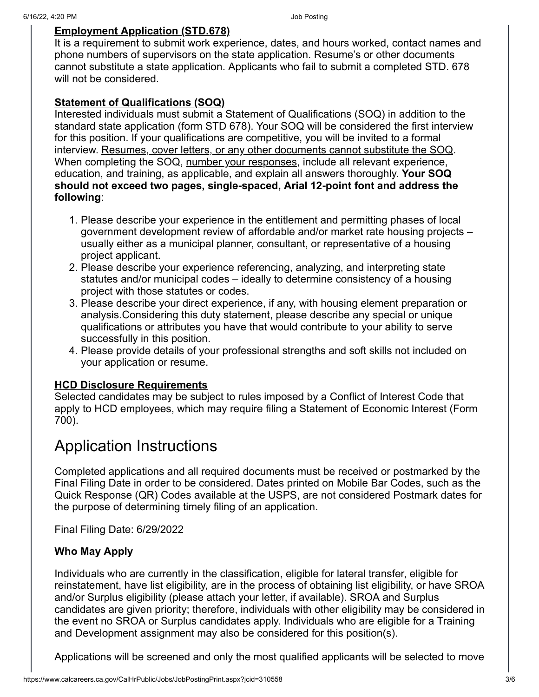#### **Employment Application (STD.678)**

It is a requirement to submit work experience, dates, and hours worked, contact names and phone numbers of supervisors on the state application. Resume's or other documents cannot substitute a state application. Applicants who fail to submit a completed STD. 678 will not be considered.

#### **Statement of Qualifications (SOQ)**

Interested individuals must submit a Statement of Qualifications (SOQ) in addition to the standard state application (form STD 678). Your SOQ will be considered the first interview for this position. If your qualifications are competitive, you will be invited to a formal interview. Resumes, cover letters, or any other documents cannot substitute the SOQ. When completing the SOQ, number your responses, include all relevant experience, education, and training, as applicable, and explain all answers thoroughly. **Your SOQ should not exceed two pages, single-spaced, Arial 12-point font and address the following**:

- 1. Please describe your experience in the entitlement and permitting phases of local government development review of affordable and/or market rate housing projects – usually either as a municipal planner, consultant, or representative of a housing project applicant.
- 2. Please describe your experience referencing, analyzing, and interpreting state statutes and/or municipal codes – ideally to determine consistency of a housing project with those statutes or codes.
- 3. Please describe your direct experience, if any, with housing element preparation or analysis.Considering this duty statement, please describe any special or unique qualifications or attributes you have that would contribute to your ability to serve successfully in this position.
- 4. Please provide details of your professional strengths and soft skills not included on your application or resume.

### **HCD Disclosure Requirements**

Selected candidates may be subject to rules imposed by a Conflict of Interest Code that apply to HCD employees, which may require filing a Statement of Economic Interest (Form 700).

## Application Instructions

Completed applications and all required documents must be received or postmarked by the Final Filing Date in order to be considered. Dates printed on Mobile Bar Codes, such as the Quick Response (QR) Codes available at the USPS, are not considered Postmark dates for the purpose of determining timely filing of an application.

Final Filing Date: 6/29/2022

### **Who May Apply**

Individuals who are currently in the classification, eligible for lateral transfer, eligible for reinstatement, have list eligibility, are in the process of obtaining list eligibility, or have SROA and/or Surplus eligibility (please attach your letter, if available). SROA and Surplus candidates are given priority; therefore, individuals with other eligibility may be considered in the event no SROA or Surplus candidates apply. Individuals who are eligible for a Training and Development assignment may also be considered for this position(s).

Applications will be screened and only the most qualified applicants will be selected to move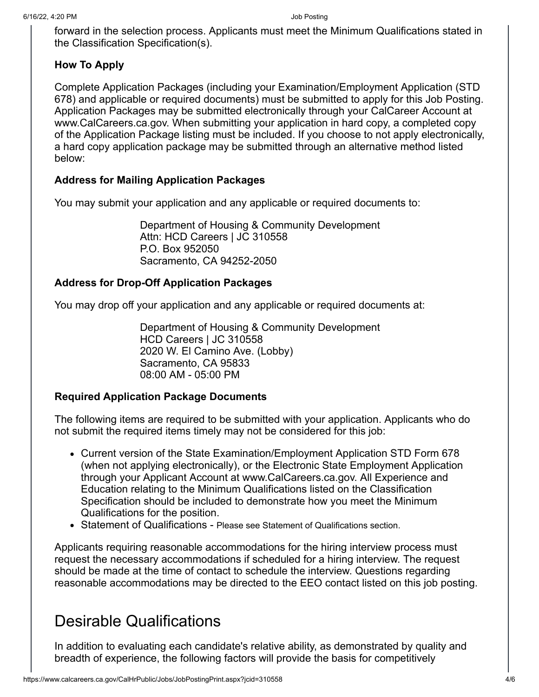forward in the selection process. Applicants must meet the Minimum Qualifications stated in the Classification Specification(s).

### **How To Apply**

Complete Application Packages (including your Examination/Employment Application (STD 678) and applicable or required documents) must be submitted to apply for this Job Posting. Application Packages may be submitted electronically through your CalCareer Account at www.CalCareers.ca.gov. When submitting your application in hard copy, a completed copy of the Application Package listing must be included. If you choose to not apply electronically, a hard copy application package may be submitted through an alternative method listed below:

### **Address for Mailing Application Packages**

You may submit your application and any applicable or required documents to:

Department of Housing & Community Development Attn: HCD Careers | JC 310558 P.O. Box 952050 Sacramento, CA 94252-2050

### **Address for Drop-Off Application Packages**

You may drop off your application and any applicable or required documents at:

Department of Housing & Community Development HCD Careers | JC 310558 2020 W. El Camino Ave. (Lobby) Sacramento, CA 95833 08:00 AM - 05:00 PM

### **Required Application Package Documents**

The following items are required to be submitted with your application. Applicants who do not submit the required items timely may not be considered for this job:

- Current version of the State Examination/Employment Application STD Form 678 (when not applying electronically), or the Electronic State Employment Application through your Applicant Account at www.CalCareers.ca.gov. All Experience and Education relating to the Minimum Qualifications listed on the Classification Specification should be included to demonstrate how you meet the Minimum Qualifications for the position.
- Statement of Qualifications Please see Statement of Qualifications section.

Applicants requiring reasonable accommodations for the hiring interview process must request the necessary accommodations if scheduled for a hiring interview. The request should be made at the time of contact to schedule the interview. Questions regarding reasonable accommodations may be directed to the EEO contact listed on this job posting.

## Desirable Qualifications

In addition to evaluating each candidate's relative ability, as demonstrated by quality and breadth of experience, the following factors will provide the basis for competitively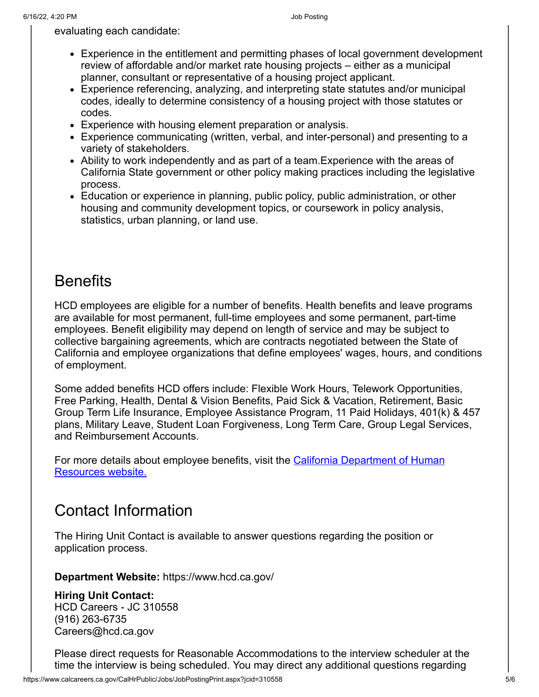evaluating each candidate:

- Experience in the entitlement and permitting phases of local government development review of affordable and/or market rate housing projects – either as a municipal planner, consultant or representative of a housing project applicant.
- Experience referencing, analyzing, and interpreting state statutes and/or municipal codes, ideally to determine consistency of a housing project with those statutes or codes.
- Experience with housing element preparation or analysis.
- Experience communicating (written, verbal, and inter-personal) and presenting to a variety of stakeholders.
- Ability to work independently and as part of a team.Experience with the areas of California State government or other policy making practices including the legislative process.
- Education or experience in planning, public policy, public administration, or other housing and community development topics, or coursework in policy analysis, statistics, urban planning, or land use.

## **Benefits**

HCD employees are eligible for a number of benefits. Health benefits and leave programs are available for most permanent, full-time employees and some permanent, part-time employees. Benefit eligibility may depend on length of service and may be subject to collective bargaining agreements, which are contracts negotiated between the State of California and employee organizations that define employees' wages, hours, and conditions of employment.

Some added benefits HCD offers include: Flexible Work Hours, Telework Opportunities, Free Parking, Health, Dental & Vision Benefits, Paid Sick & Vacation, Retirement, Basic Group Term Life Insurance, Employee Assistance Program, 11 Paid Holidays, 401(k) & 457 plans, Military Leave, Student Loan Forgiveness, Long Term Care, Group Legal Services, and Reimbursement Accounts.

[For more details about employee benefits, visit the California Department of Human](https://www.calhr.ca.gov/employees/Pages/salary-and-benefits.aspx) Resources website.

## Contact Information

The Hiring Unit Contact is available to answer questions regarding the position or application process.

**Department Website:** https://www.hcd.ca.gov/

**Hiring Unit Contact:**  HCD Careers - JC 310558 (916) 263-6735 Careers@hcd.ca.gov

Please direct requests for Reasonable Accommodations to the interview scheduler at the time the interview is being scheduled. You may direct any additional questions regarding